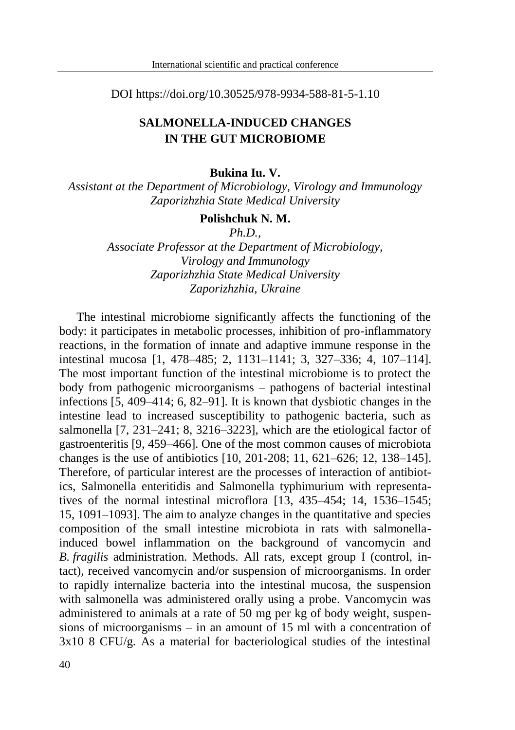DOI https://doi.org/10.30525/978-9934-588-81-5-1.10

## **SALMONELLA-INDUCED CHANGES IN THE GUT MICROBIOME**

## **Bukina Iu. V.**

*Assistant at the Department of Microbiology, Virology and Immunology Zaporizhzhia State Medical University*

## **Polishchuk N. M.**

*Ph.D.,*

*Associate Professor at the Department of Microbiology, Virology and Immunology Zaporizhzhia State Medical University Zaporizhzhia, Ukraine*

The intestinal microbiome significantly affects the functioning of the body: it participates in metabolic processes, inhibition of pro-inflammatory reactions, in the formation of innate and adaptive immune response in the intestinal mucosa [1, 478–485; 2, 1131–1141; 3, 327–336; 4, 107–114]. The most important function of the intestinal microbiome is to protect the body from pathogenic microorganisms – pathogens of bacterial intestinal infections [5, 409–414; 6, 82–91]. It is known that dysbiotic changes in the intestine lead to increased susceptibility to pathogenic bacteria, such as salmonella [7, 231–241; 8, 3216–3223], which are the etiological factor of gastroenteritis [9, 459–466]. One of the most common causes of microbiota changes is the use of antibiotics [10, 201-208; 11, 621–626; 12, 138–145]. Therefore, of particular interest are the processes of interaction of antibiotics, Salmonella enteritidis and Salmonella typhimurium with representatives of the normal intestinal microflora [13, 435–454; 14, 1536–1545; 15, 1091–1093]. The aim to analyze changes in the quantitative and species composition of the small intestine microbiota in rats with salmonellainduced bowel inflammation on the background of vancomycin and *B. fragilis* administration. Methods. All rats, except group I (control, intact), received vancomycin and/or suspension of microorganisms. In order to rapidly internalize bacteria into the intestinal mucosa, the suspension with salmonella was administered orally using a probe. Vancomycin was administered to animals at a rate of 50 mg per kg of body weight, suspensions of microorganisms – in an amount of 15 ml with a concentration of 3x10 8 CFU/g. As a material for bacteriological studies of the intestinal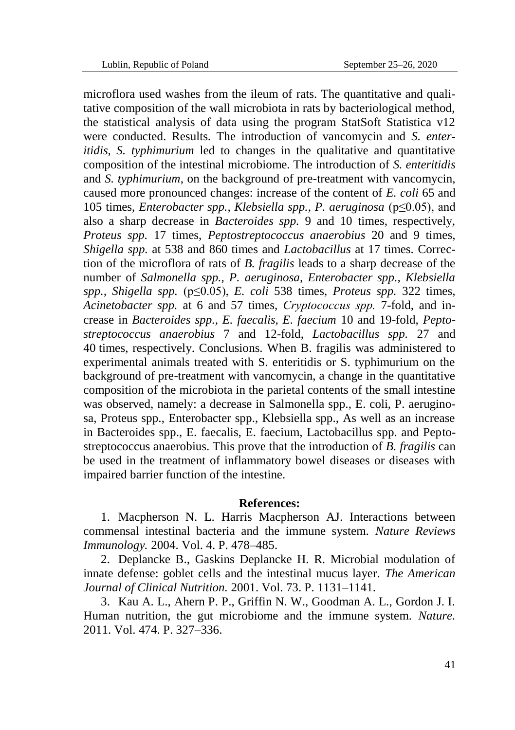microflora used washes from the ileum of rats. The quantitative and qualitative composition of the wall microbiota in rats by bacteriological method, the statistical analysis of data using the program StatSoft Statistica v12 were conducted. Results. The introduction of vancomycin and *S. enteritidis, S. typhimurium* led to changes in the qualitative and quantitative composition of the intestinal microbiome. The introduction of *S. enteritidis* and *S. typhimurium*, on the background of pre-treatment with vancomycin, caused more pronounced changes: increase of the content of *E. coli* 65 and 105 times, *Enterobacter spp., Klebsiella spp., P. aeruginosa* (p≤0.05), and also a sharp decrease in *Bacteroides spp.* 9 and 10 times, respectively, *Proteus spp.* 17 times, *Peptostreptococcus anaerobius* 20 and 9 times, *Shigella spp.* at 538 and 860 times and *Lactobacillus* at 17 times. Correction of the microflora of rats of *B. fragilis* leads to a sharp decrease of the number of *Salmonella spp., P. aeruginosa, Enterobacter spp., Klebsiella spp., Shigella spp.* (p≤0.05), *E. coli* 538 times, *Proteus spp.* 322 times, *Acinetobacter spp.* at 6 and 57 times, *Сryptococcus spp.* 7-fold, and increase in *Bacteroides spp., E. faecalis, E. faecium* 10 and 19-fold, *Peptostreptococcus anaerobius* 7 and 12-fold, *Lactobacillus spp.* 27 and 40 times, respectively. Conclusions. When B. fragilis was administered to experimental animals treated with S. enteritidis or S. typhimurium on the background of pre-treatment with vancomycin, a change in the quantitative composition of the microbiota in the parietal contents of the small intestine was observed, namely: a decrease in Salmonella spp., E. coli, P. aeruginosa, Proteus spp., Enterobacter spp., Klebsiella spp., As well as an increase in Bacteroides spp., E. faecalis, E. faecium, Lactobacillus spp. and Peptostreptococcus anaerobius. This prove that the introduction of *B. fragilis* can be used in the treatment of inflammatory bowel diseases or diseases with impaired barrier function of the intestine.

## **References:**

1. Macpherson N. L. Harris Macpherson AJ. Interactions between commensal intestinal bacteria and the immune system. *Nature Reviews Immunology.* 2004. Vol. 4. P. 478–485.

2. Deplancke B., Gaskins Deplancke H. R. Microbial modulation of innate defense: goblet cells and the intestinal mucus layer. *The American Journal of Clinical Nutrition.* 2001. Vol. 73. P. 1131–1141.

3. Kau A. L., Ahern P. P., Griffin N. W., Goodman A. L., Gordon J. I. Human nutrition, the gut microbiome and the immune system. *Nature.* 2011. Vol. 474. P. 327–336.